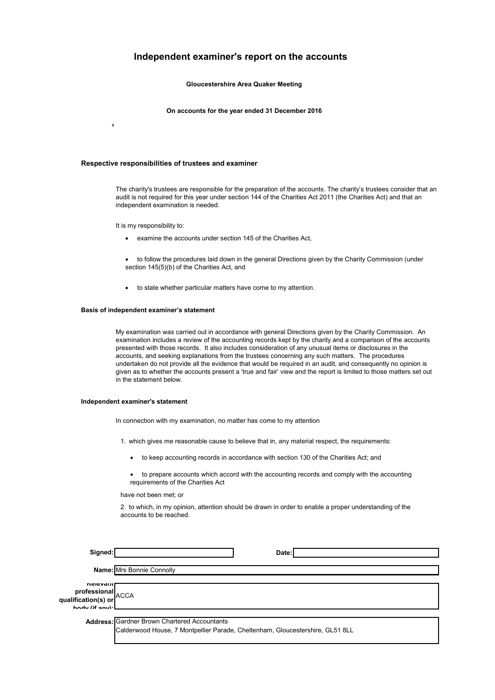### Independent examiner's report on the accounts

Gloucestershire Area Quaker Meeting

On accounts for the year ended 31 December 2016

#### Respective responsibilities of trustees and examiner

The charity's trustees are responsible for the preparation of the accounts. The charity's trustees consider that an audit is not required for this year under section 144 of the Charities Act 2011 (the Charities Act) and that an independent examination is needed.

It is my responsibility to:

 $\mathbf{0}$ 

- examine the accounts under section 145 of the Charities Act,
- to follow the procedures laid down in the general Directions given by the Charity Commission (under section 145(5)(b) of the Charities Act, and
- to state whether particular matters have come to my attention.

#### Basis of independent examiner's statement

My examination was carried out in accordance with general Directions given by the Charity Commission. An examination includes a review of the accounting records kept by the charity and a comparison of the accounts presented with those records. It also includes consideration of any unusual items or disclosures in the accounts, and seeking explanations from the trustees concerning any such matters. The procedures undertaken do not provide all the evidence that would be required in an audit, and consequently no opinion is given as to whether the accounts present a 'true and fair' view and the report is limited to those matters set out in the statement below.

#### Independent examiner's statement

In connection with my examination, no matter has come to my attention

- 1. which gives me reasonable cause to believe that in, any material respect, the requirements:
	- to keep accounting records in accordance with section 130 of the Charities Act; and
	- to prepare accounts which accord with the accounting records and comply with the accounting requirements of the Charities Act

have not been met; or

 $\alpha$ u

2. to which, in my opinion, attention should be drawn in order to enable a proper understanding of the accounts to be reached.

| Signed:                                                                         | Date:                                                                                                                                |
|---------------------------------------------------------------------------------|--------------------------------------------------------------------------------------------------------------------------------------|
|                                                                                 | Name: Mrs Bonnie Connolly                                                                                                            |
| <b>INGIBAGIIL</b><br><b>professional</b><br>alification(s) or<br>hody (if any): |                                                                                                                                      |
|                                                                                 | <b>Address: Gardner Brown Chartered Accountants</b><br>Calderwood House, 7 Montpellier Parade, Cheltenham, Gloucestershire, GL51 8LL |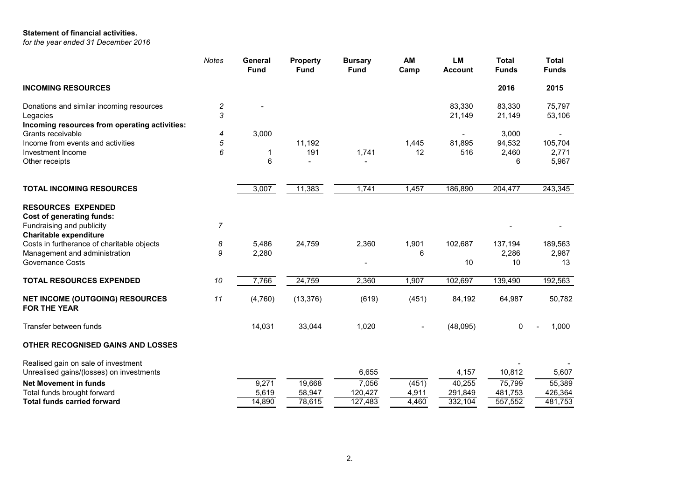### Statement of financial activities.

*for the year ended 31 December 2016*

|                                                                                                                             | <b>Notes</b> | General<br><b>Fund</b> | <b>Property</b><br><b>Fund</b> | <b>Bursary</b><br><b>Fund</b> | AM<br>Camp     | <b>LM</b><br><b>Account</b> | <b>Total</b><br><b>Funds</b> | <b>Total</b><br><b>Funds</b> |
|-----------------------------------------------------------------------------------------------------------------------------|--------------|------------------------|--------------------------------|-------------------------------|----------------|-----------------------------|------------------------------|------------------------------|
| <b>INCOMING RESOURCES</b>                                                                                                   |              |                        |                                |                               |                |                             | 2016                         | 2015                         |
| Donations and similar incoming resources                                                                                    | 2            |                        |                                |                               |                | 83,330                      | 83,330                       | 75,797                       |
| Legacies                                                                                                                    | 3            |                        |                                |                               |                | 21,149                      | 21,149                       | 53,106                       |
| Incoming resources from operating activities:                                                                               |              |                        |                                |                               |                |                             |                              |                              |
| Grants receivable                                                                                                           | 4            | 3,000                  |                                |                               |                |                             | 3,000                        |                              |
| Income from events and activities                                                                                           | 5            |                        | 11,192                         |                               | 1,445          | 81,895                      | 94,532                       | 105,704                      |
| Investment Income                                                                                                           | 6            | 1                      | 191                            | 1,741                         | 12             | 516                         | 2,460                        | 2.771                        |
| Other receipts                                                                                                              |              | 6                      | $\overline{a}$                 |                               |                |                             | 6                            | 5,967                        |
| <b>TOTAL INCOMING RESOURCES</b>                                                                                             |              | 3,007                  | 11,383                         | 1,741                         | 1,457          | 186,890                     | 204,477                      | 243,345                      |
| <b>RESOURCES EXPENDED</b><br><b>Cost of generating funds:</b><br>Fundraising and publicity<br><b>Charitable expenditure</b> | 7            |                        |                                |                               |                |                             |                              |                              |
| Costs in furtherance of charitable objects                                                                                  | 8            | 5,486                  | 24,759                         | 2,360                         | 1,901          | 102,687                     | 137,194                      | 189,563                      |
| Management and administration                                                                                               | 9            | 2,280                  |                                |                               | 6              |                             | 2,286                        | 2,987                        |
| <b>Governance Costs</b>                                                                                                     |              |                        |                                |                               |                | 10                          | 10                           | 13                           |
| <b>TOTAL RESOURCES EXPENDED</b>                                                                                             | 10           | 7,766                  | 24,759                         | 2,360                         | 1,907          | 102,697                     | 139,490                      | 192,563                      |
| <b>NET INCOME (OUTGOING) RESOURCES</b><br><b>FOR THE YEAR</b>                                                               | 11           | (4,760)                | (13, 376)                      | (619)                         | (451)          | 84,192                      | 64,987                       | 50,782                       |
| Transfer between funds                                                                                                      |              | 14,031                 | 33,044                         | 1,020                         | $\blacksquare$ | (48,095)                    | $\mathbf 0$                  | 1,000                        |
| OTHER RECOGNISED GAINS AND LOSSES                                                                                           |              |                        |                                |                               |                |                             |                              |                              |
| Realised gain on sale of investment<br>Unrealised gains/(losses) on investments                                             |              |                        |                                | 6,655                         |                | 4,157                       | 10,812                       | 5,607                        |
| <b>Net Movement in funds</b>                                                                                                |              | 9,271                  | 19,668                         | 7,056                         | (451)          | 40,255                      | 75,799                       | 55,389                       |
| Total funds brought forward                                                                                                 |              | 5,619                  | 58,947                         | 120,427                       | 4,911          | 291,849                     | 481,753                      | 426,364                      |
| <b>Total funds carried forward</b>                                                                                          |              | 14,890                 | 78,615                         | 127,483                       | 4,460          | 332,104                     | 557,552                      | 481,753                      |
|                                                                                                                             |              |                        |                                |                               |                |                             |                              |                              |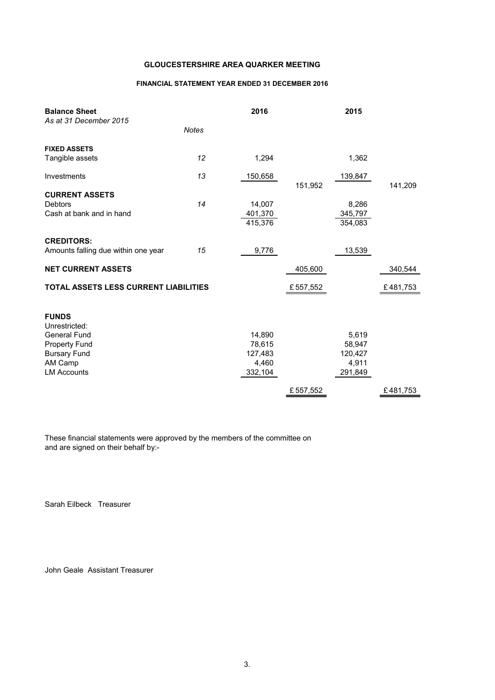### FINANCIAL STATEMENT YEAR ENDED 31 DECEMBER 2016

| <b>Balance Sheet</b><br>As at 31 December 2015 |              | 2016               |          | 2015               |          |
|------------------------------------------------|--------------|--------------------|----------|--------------------|----------|
|                                                | <b>Notes</b> |                    |          |                    |          |
| <b>FIXED ASSETS</b>                            |              |                    |          |                    |          |
| Tangible assets                                | 12           | 1,294              |          | 1,362              |          |
| Investments                                    | 13           | 150,658            | 151,952  | 139,847            | 141,209  |
| <b>CURRENT ASSETS</b>                          |              |                    |          |                    |          |
| <b>Debtors</b>                                 | 14           | 14,007             |          | 8,286              |          |
| Cash at bank and in hand                       |              | 401,370<br>415,376 |          | 345,797<br>354,083 |          |
| <b>CREDITORS:</b>                              |              |                    |          |                    |          |
| Amounts falling due within one year            | 15           | 9,776              |          | 13,539             |          |
| <b>NET CURRENT ASSETS</b>                      |              |                    | 405,600  |                    | 340,544  |
| TOTAL ASSETS LESS CURRENT LIABILITIES          |              |                    | £557,552 |                    | £481,753 |
| <b>FUNDS</b><br>Unrestricted:                  |              |                    |          |                    |          |
| <b>General Fund</b>                            |              | 14,890             |          | 5,619              |          |
| <b>Property Fund</b>                           |              | 78,615             |          | 58,947             |          |
| <b>Bursary Fund</b>                            |              | 127,483            |          | 120,427            |          |
| AM Camp                                        |              | 4,460              |          | 4,911              |          |
| <b>LM Accounts</b>                             |              | 332,104            |          | 291,849            |          |
|                                                |              |                    | £557,552 |                    | £481,753 |

These financial statements were approved by the members of the committee on and are signed on their behalf by:-

Sarah Eilbeck Treasurer

John Geale Assistant Treasurer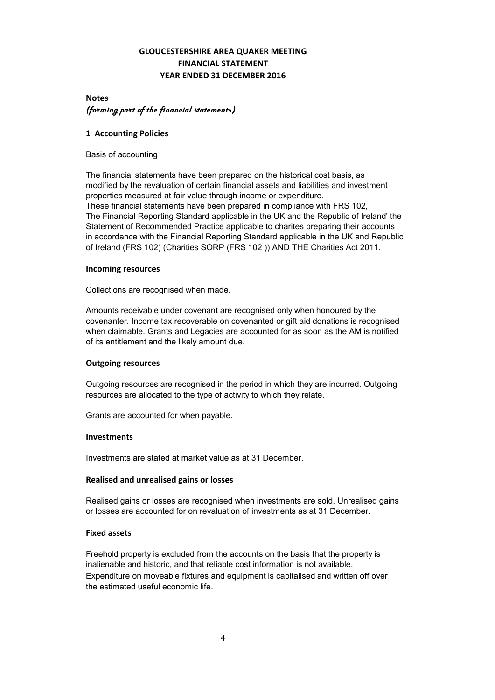# GLOUCESTERSHIRE AREA QUAKER MEETING FINANCIAL STATEMENT YEAR ENDED 31 DECEMBER 2016

# **Notes** *(forming part of the financial statements)*

#### 1 Accounting Policies

Basis of accounting

The financial statements have been prepared on the historical cost basis, as modified by the revaluation of certain financial assets and liabilities and investment properties measured at fair value through income or expenditure. These financial statements have been prepared in compliance with FRS 102, The Financial Reporting Standard applicable in the UK and the Republic of Ireland' the Statement of Recommended Practice applicable to charites preparing their accounts in accordance with the Financial Reporting Standard applicable in the UK and Republic of Ireland (FRS 102) (Charities SORP (FRS 102 )) AND THE Charities Act 2011.

#### Incoming resources

Collections are recognised when made.

Amounts receivable under covenant are recognised only when honoured by the covenanter. Income tax recoverable on covenanted or gift aid donations is recognised when claimable. Grants and Legacies are accounted for as soon as the AM is notified of its entitlement and the likely amount due.

### Outgoing resources

Outgoing resources are recognised in the period in which they are incurred. Outgoing resources are allocated to the type of activity to which they relate.

Grants are accounted for when payable.

#### Investments

Investments are stated at market value as at 31 December.

### Realised and unrealised gains or losses

Realised gains or losses are recognised when investments are sold. Unrealised gains or losses are accounted for on revaluation of investments as at 31 December.

#### Fixed assets

Freehold property is excluded from the accounts on the basis that the property is inalienable and historic, and that reliable cost information is not available. Expenditure on moveable fixtures and equipment is capitalised and written off over the estimated useful economic life.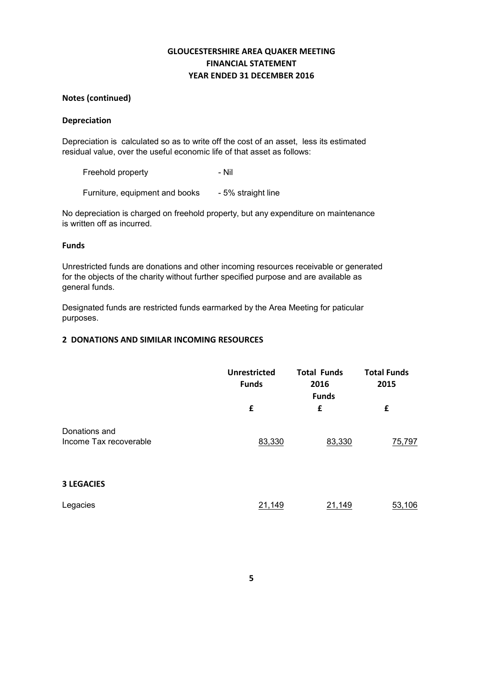# GLOUCESTERSHIRE AREA QUAKER MEETING FINANCIAL STATEMENT YEAR ENDED 31 DECEMBER 2016

### Notes (continued)

#### Depreciation

Depreciation is calculated so as to write off the cost of an asset, less its estimated residual value, over the useful economic life of that asset as follows:

Freehold property **Freehold** property

Furniture, equipment and books - 5% straight line

No depreciation is charged on freehold property, but any expenditure on maintenance is written off as incurred.

#### Funds

Unrestricted funds are donations and other incoming resources receivable or generated for the objects of the charity without further specified purpose and are available as general funds.

Designated funds are restricted funds earmarked by the Area Meeting for paticular purposes.

#### 2 DONATIONS AND SIMILAR INCOMING RESOURCES

|                                         | Unrestricted<br><b>Funds</b> | <b>Total Funds</b><br>2016<br><b>Funds</b> | <b>Total Funds</b><br>2015 |
|-----------------------------------------|------------------------------|--------------------------------------------|----------------------------|
|                                         | £                            | £                                          | £                          |
| Donations and<br>Income Tax recoverable | 83,330                       | 83,330                                     | 75,797                     |
| <b>3 LEGACIES</b>                       |                              |                                            |                            |
| Legacies                                | 21,149                       | 21,149                                     | 53,106                     |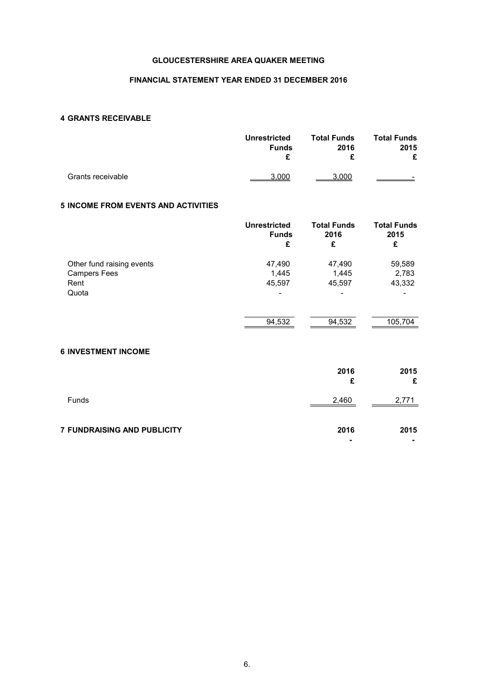### FINANCIAL STATEMENT YEAR ENDED 31 DECEMBER 2016

### 4 GRANTS RECEIVABLE

|                   | <b>Unrestricted</b> | <b>Total Funds</b> | <b>Total Funds</b>       |  |
|-------------------|---------------------|--------------------|--------------------------|--|
|                   | <b>Funds</b>        | 2016               | 2015                     |  |
|                   |                     | c                  | £                        |  |
| Grants receivable | 3.000               | 3.000              | $\overline{\phantom{0}}$ |  |

# 5 INCOME FROM EVENTS AND ACTIVITIES

| <b>Unrestricted</b><br><b>Funds</b><br>£ | <b>Total Funds</b><br>2016<br>£ | <b>Total Funds</b><br>2015<br>£ |
|------------------------------------------|---------------------------------|---------------------------------|
| 47,490                                   | 47,490                          | 59,589                          |
| 1,445                                    | 1,445                           | 2,783                           |
| 45,597                                   | 45,597                          | 43,332                          |
| $\blacksquare$                           | $\qquad \qquad$                 |                                 |
|                                          |                                 |                                 |
| 94,532                                   | 94,532                          | 105,704                         |
|                                          |                                 |                                 |

# 6 INVESTMENT INCOME

|                                    | 2016<br>£ | 2015<br>£ |
|------------------------------------|-----------|-----------|
| Funds                              | 2,460     | 2,771     |
| <b>7 FUNDRAISING AND PUBLICITY</b> | 2016      | 2015      |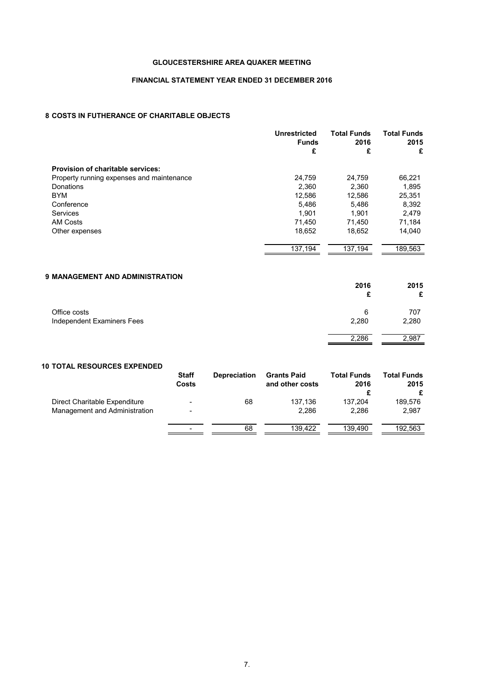#### FINANCIAL STATEMENT YEAR ENDED 31 DECEMBER 2016

# 8 COSTS IN FUTHERANCE OF CHARITABLE OBJECTS

|                                           | Unrestricted<br><b>Funds</b><br>£ | <b>Total Funds</b><br>2016<br>£ | <b>Total Funds</b><br>2015<br>£ |
|-------------------------------------------|-----------------------------------|---------------------------------|---------------------------------|
| <b>Provision of charitable services:</b>  |                                   |                                 |                                 |
| Property running expenses and maintenance | 24,759                            | 24,759                          | 66,221                          |
| Donations                                 | 2,360                             | 2,360                           | 1,895                           |
| <b>BYM</b>                                | 12,586                            | 12,586                          | 25,351                          |
| Conference                                | 5,486                             | 5,486                           | 8,392                           |
| <b>Services</b>                           | 1,901                             | 1.901                           | 2,479                           |
| <b>AM Costs</b>                           | 71.450                            | 71,450                          | 71,184                          |
| Other expenses                            | 18,652                            | 18,652                          | 14,040                          |
|                                           | 137,194                           | 137,194                         | 189,563                         |
|                                           |                                   |                                 |                                 |

| <b>9 MANAGEMENT AND ADMINISTRATION</b> | 2016  | 2015<br>£ |
|----------------------------------------|-------|-----------|
| Office costs                           | 6     | 707       |
| Independent Examiners Fees             | 2,280 | 2,280     |
|                                        | 2,286 | 2,987     |

#### 10 TOTAL RESOURCES EXPENDED

|                                                                | <b>Staff</b><br>Costs                                | <b>Depreciation</b> | <b>Grants Paid</b><br>and other costs | <b>Total Funds</b><br>2016 | <b>Total Funds</b><br>2015<br>£ |
|----------------------------------------------------------------|------------------------------------------------------|---------------------|---------------------------------------|----------------------------|---------------------------------|
| Direct Charitable Expenditure<br>Management and Administration | $\overline{\phantom{a}}$<br>$\overline{\phantom{a}}$ | 68                  | 137.136<br>2.286                      | 137.204<br>2.286           | 189,576<br>2,987                |
|                                                                | $\overline{\phantom{a}}$                             | 68                  | 139.422                               | 139.490                    | 192.563                         |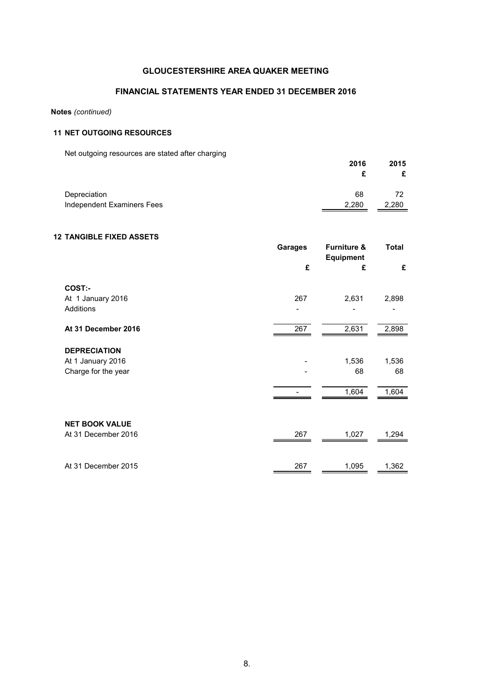### FINANCIAL STATEMENTS YEAR ENDED 31 DECEMBER 2016

#### Notes *(continued)*

### 11 NET OUTGOING RESOURCES

Net outgoing resources are stated after charging

| <b>TWE bargoing resources are stated and branging</b> | 2016  | 2015  |
|-------------------------------------------------------|-------|-------|
| Depreciation                                          | 68    | 72    |
| Independent Examiners Fees                            | 2.280 | 2,280 |

### 12 TANGIBLE FIXED ASSETS

|                       | <b>Garages</b><br>£ | <b>Furniture &amp;</b><br><b>Equipment</b><br>£ | Total<br>£ |
|-----------------------|---------------------|-------------------------------------------------|------------|
|                       |                     |                                                 |            |
| COST:-                |                     |                                                 |            |
| At 1 January 2016     | 267                 | 2,631                                           | 2,898      |
| Additions             |                     |                                                 |            |
| At 31 December 2016   | 267                 | 2,631                                           | 2,898      |
| <b>DEPRECIATION</b>   |                     |                                                 |            |
| At 1 January 2016     |                     | 1,536                                           | 1,536      |
| Charge for the year   |                     | 68                                              | 68         |
|                       |                     | 1,604                                           | 1,604      |
|                       |                     |                                                 |            |
| <b>NET BOOK VALUE</b> |                     |                                                 |            |
| At 31 December 2016   | 267                 | 1,027                                           | 1,294      |
|                       |                     |                                                 |            |
| At 31 December 2015   | 267                 | 1,095                                           | 1,362      |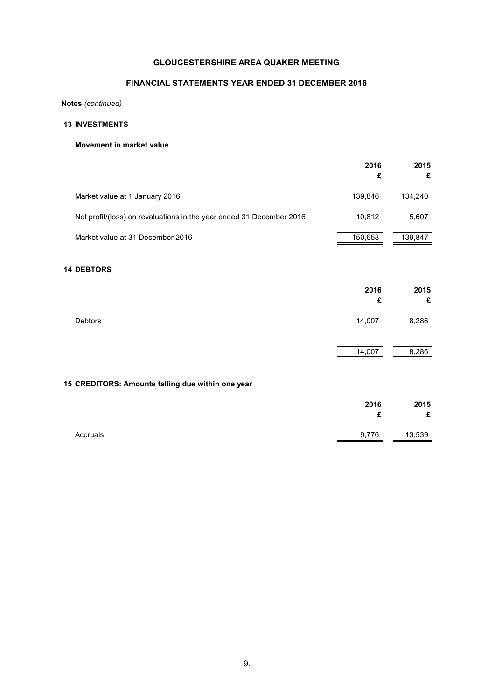# FINANCIAL STATEMENTS YEAR ENDED 31 DECEMBER 2016

Notes *(continued)*

## 13 INVESTMENTS

#### Movement in market value

|                                                                      | 2016<br>£ | 2015<br>£ |
|----------------------------------------------------------------------|-----------|-----------|
| Market value at 1 January 2016                                       | 139,846   | 134,240   |
| Net profit/(loss) on revaluations in the year ended 31 December 2016 | 10,812    | 5,607     |
| Market value at 31 December 2016                                     | 150,658   | 139,847   |
| <b>14 DEBTORS</b>                                                    |           |           |
|                                                                      | 2016<br>£ | 2015<br>£ |
| Debtors                                                              | 14,007    | 8,286     |
|                                                                      | 14,007    | 8,286     |
| 15 CREDITORS: Amounts falling due within one year                    |           |           |
|                                                                      | 2016<br>£ | 2015<br>£ |
| Accruals                                                             | 9,776     | 13,539    |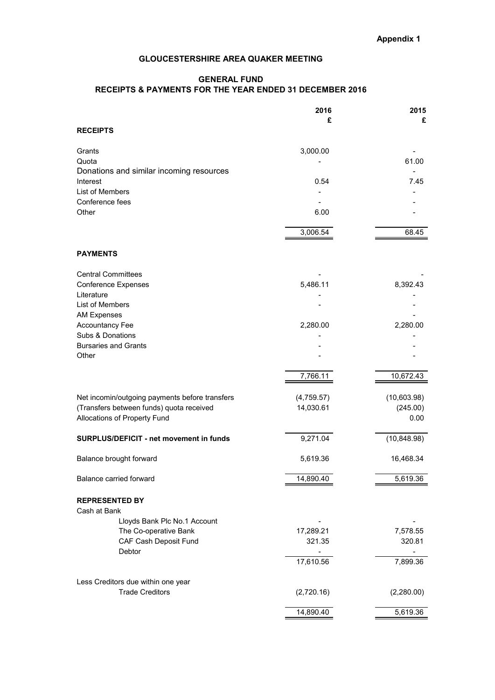## GENERAL FUND RECEIPTS & PAYMENTS FOR THE YEAR ENDED 31 DECEMBER 2016

|                                                 | 2016       | 2015         |
|-------------------------------------------------|------------|--------------|
|                                                 | £          | £            |
| <b>RECEIPTS</b>                                 |            |              |
| Grants                                          | 3,000.00   |              |
| Quota                                           |            | 61.00        |
| Donations and similar incoming resources        |            |              |
| Interest                                        | 0.54       | 7.45         |
| List of Members                                 |            |              |
| Conference fees<br>Other                        |            |              |
|                                                 | 6.00       |              |
|                                                 | 3,006.54   | 68.45        |
|                                                 |            |              |
| <b>PAYMENTS</b>                                 |            |              |
| <b>Central Committees</b>                       |            |              |
| <b>Conference Expenses</b>                      | 5,486.11   | 8,392.43     |
| Literature                                      |            |              |
| List of Members                                 |            |              |
| <b>AM Expenses</b>                              |            |              |
| <b>Accountancy Fee</b>                          | 2,280.00   | 2,280.00     |
| Subs & Donations<br><b>Bursaries and Grants</b> |            |              |
| Other                                           |            |              |
|                                                 |            |              |
|                                                 | 7,766.11   | 10,672.43    |
| Net incomin/outgoing payments before transfers  | (4,759.57) | (10,603.98)  |
| (Transfers between funds) quota received        | 14,030.61  | (245.00)     |
| Allocations of Property Fund                    |            | 0.00         |
| SURPLUS/DEFICIT - net movement in funds         | 9,271.04   | (10, 848.98) |
|                                                 |            |              |
| Balance brought forward                         | 5,619.36   | 16,468.34    |
| Balance carried forward                         | 14,890.40  | 5,619.36     |
| <b>REPRESENTED BY</b>                           |            |              |
| Cash at Bank                                    |            |              |
| Lloyds Bank Plc No.1 Account                    |            |              |
| The Co-operative Bank                           | 17,289.21  | 7,578.55     |
| CAF Cash Deposit Fund                           | 321.35     | 320.81       |
| Debtor                                          |            |              |
|                                                 | 17,610.56  | 7,899.36     |
| Less Creditors due within one year              |            |              |
| <b>Trade Creditors</b>                          | (2,720.16) | (2,280.00)   |
|                                                 | 14,890.40  | 5,619.36     |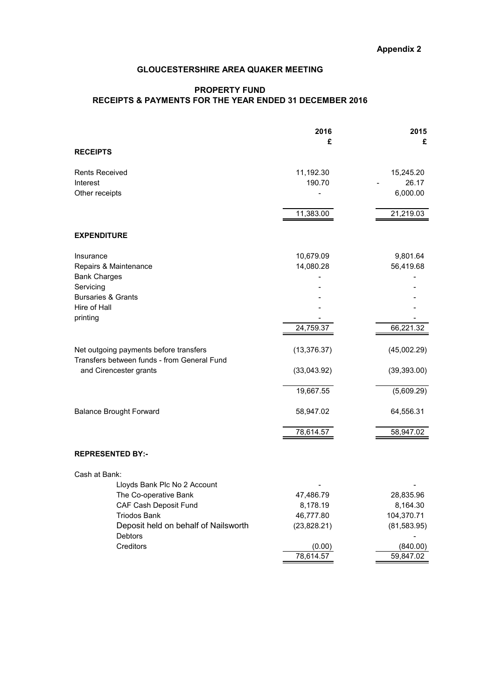# PROPERTY FUND RECEIPTS & PAYMENTS FOR THE YEAR ENDED 31 DECEMBER 2016

|                                                 | 2016         | 2015         |
|-------------------------------------------------|--------------|--------------|
|                                                 | £            | £            |
| <b>RECEIPTS</b>                                 |              |              |
| <b>Rents Received</b>                           | 11,192.30    | 15,245.20    |
| Interest                                        | 190.70       | 26.17        |
| Other receipts                                  |              | 6,000.00     |
|                                                 | 11,383.00    | 21,219.03    |
|                                                 |              |              |
| <b>EXPENDITURE</b>                              |              |              |
| Insurance                                       | 10,679.09    | 9,801.64     |
| Repairs & Maintenance                           | 14,080.28    | 56,419.68    |
| <b>Bank Charges</b>                             |              |              |
| Servicing                                       |              |              |
| <b>Bursaries &amp; Grants</b>                   |              |              |
| Hire of Hall                                    |              |              |
| printing                                        |              |              |
|                                                 | 24,759.37    | 66,221.32    |
| Net outgoing payments before transfers          | (13, 376.37) | (45,002.29)  |
| Transfers between funds - from General Fund     |              |              |
| and Cirencester grants                          | (33,043.92)  | (39, 393.00) |
|                                                 | 19,667.55    | (5,609.29)   |
| <b>Balance Brought Forward</b>                  | 58,947.02    | 64,556.31    |
|                                                 | 78,614.57    | 58,947.02    |
|                                                 |              |              |
| <b>REPRESENTED BY:-</b>                         |              |              |
| Cash at Bank:                                   |              |              |
| Lloyds Bank Plc No 2 Account                    |              |              |
| The Co-operative Bank                           | 47,486.79    | 28,835.96    |
| CAF Cash Deposit Fund                           | 8,178.19     | 8,164.30     |
| <b>Triodos Bank</b>                             | 46,777.80    | 104,370.71   |
| Deposit held on behalf of Nailsworth<br>Debtors | (23,828.21)  | (81, 583.95) |
| Creditors                                       | (0.00)       | (840.00)     |
|                                                 | 78,614.57    | 59,847.02    |
|                                                 |              |              |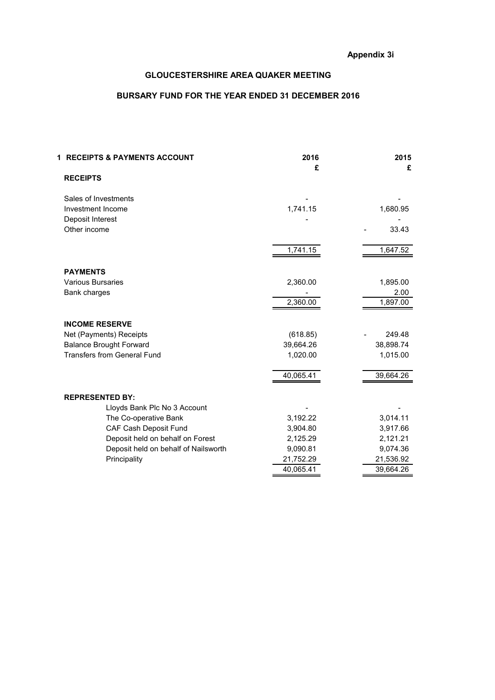# BURSARY FUND FOR THE YEAR ENDED 31 DECEMBER 2016

| <b>1 RECEIPTS &amp; PAYMENTS ACCOUNT</b> | 2016<br>£ | 2015<br>£ |
|------------------------------------------|-----------|-----------|
| <b>RECEIPTS</b>                          |           |           |
| Sales of Investments                     |           |           |
| Investment Income                        | 1,741.15  | 1,680.95  |
| Deposit Interest                         |           |           |
| Other income                             |           | 33.43     |
|                                          | 1,741.15  | 1,647.52  |
|                                          |           |           |
| <b>PAYMENTS</b>                          |           |           |
| <b>Various Bursaries</b>                 | 2,360.00  | 1,895.00  |
| Bank charges                             |           | 2.00      |
|                                          | 2,360.00  | 1,897.00  |
| <b>INCOME RESERVE</b>                    |           |           |
| Net (Payments) Receipts                  | (618.85)  | 249.48    |
| <b>Balance Brought Forward</b>           | 39,664.26 | 38,898.74 |
| <b>Transfers from General Fund</b>       | 1,020.00  | 1,015.00  |
|                                          | 40,065.41 | 39,664.26 |
|                                          |           |           |
| <b>REPRESENTED BY:</b>                   |           |           |
| Lloyds Bank Plc No 3 Account             |           |           |
| The Co-operative Bank                    | 3,192.22  | 3,014.11  |
| <b>CAF Cash Deposit Fund</b>             | 3,904.80  | 3,917.66  |
| Deposit held on behalf on Forest         | 2,125.29  | 2,121.21  |
| Deposit held on behalf of Nailsworth     | 9,090.81  | 9,074.36  |
| Principality                             | 21,752.29 | 21,536.92 |
|                                          | 40,065.41 | 39,664.26 |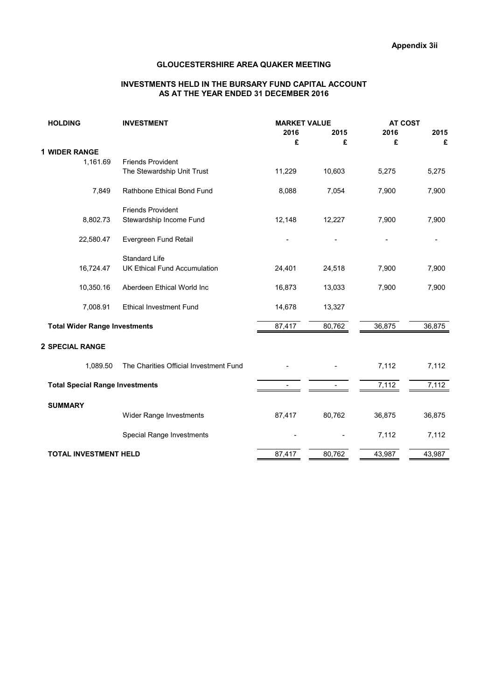#### INVESTMENTS HELD IN THE BURSARY FUND CAPITAL ACCOUNT AS AT THE YEAR ENDED 31 DECEMBER 2016

| <b>HOLDING</b>                         | <b>INVESTMENT</b>                      | <b>MARKET VALUE</b> |        | <b>AT COST</b> |        |
|----------------------------------------|----------------------------------------|---------------------|--------|----------------|--------|
|                                        |                                        | 2016                | 2015   | 2016           | 2015   |
|                                        |                                        | £                   | £      | £              | £      |
| 1 WIDER RANGE                          |                                        |                     |        |                |        |
| 1,161.69                               | <b>Friends Provident</b>               |                     |        |                |        |
|                                        | The Stewardship Unit Trust             | 11,229              | 10,603 | 5,275          | 5,275  |
| 7,849                                  | Rathbone Ethical Bond Fund             | 8,088               | 7,054  | 7,900          | 7,900  |
|                                        | <b>Friends Provident</b>               |                     |        |                |        |
| 8,802.73                               | Stewardship Income Fund                | 12,148              | 12,227 | 7,900          | 7,900  |
| 22,580.47                              | Evergreen Fund Retail                  |                     |        |                |        |
|                                        | <b>Standard Life</b>                   |                     |        |                |        |
| 16,724.47                              | <b>UK Ethical Fund Accumulation</b>    | 24,401              | 24,518 | 7,900          | 7,900  |
| 10,350.16                              | Aberdeen Ethical World Inc             | 16,873              | 13,033 | 7,900          | 7,900  |
| 7,008.91                               | <b>Ethical Investment Fund</b>         | 14,678              | 13,327 |                |        |
| <b>Total Wider Range Investments</b>   |                                        | 87,417              | 80,762 | 36,875         | 36,875 |
| 2 SPECIAL RANGE                        |                                        |                     |        |                |        |
| 1,089.50                               | The Charities Official Investment Fund |                     |        | 7,112          | 7,112  |
| <b>Total Special Range Investments</b> |                                        |                     |        | 7,112          | 7,112  |
| <b>SUMMARY</b>                         |                                        |                     |        |                |        |
|                                        | Wider Range Investments                | 87,417              | 80,762 | 36,875         | 36,875 |
|                                        | Special Range Investments              |                     |        | 7,112          | 7,112  |
| <b>TOTAL INVESTMENT HELD</b>           |                                        | 87,417              | 80,762 | 43,987         | 43,987 |
|                                        |                                        |                     |        |                |        |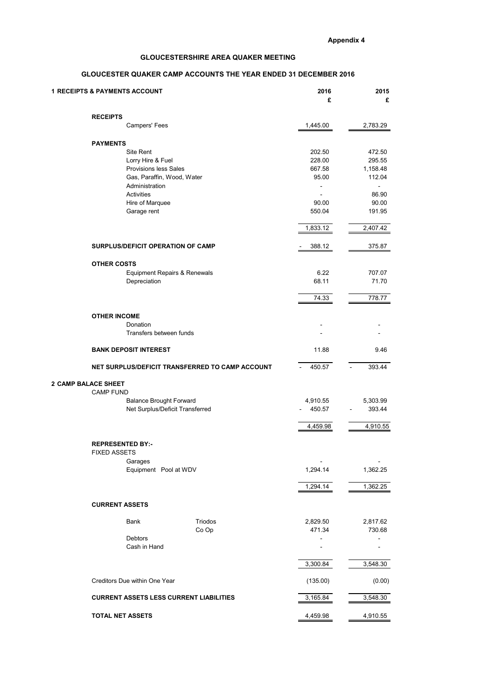## GLOUCESTER QUAKER CAMP ACCOUNTS THE YEAR ENDED 31 DECEMBER 2016

|                            | <b>1 RECEIPTS &amp; PAYMENTS ACCOUNT</b>       | 2016<br>£                                       | 2015<br>£                |          |
|----------------------------|------------------------------------------------|-------------------------------------------------|--------------------------|----------|
|                            | <b>RECEIPTS</b>                                |                                                 |                          |          |
|                            | Campers' Fees                                  |                                                 | 1,445.00                 | 2,783.29 |
|                            | <b>PAYMENTS</b>                                |                                                 |                          |          |
|                            | Site Rent                                      |                                                 | 202.50                   | 472.50   |
|                            | Lorry Hire & Fuel                              |                                                 | 228.00                   | 295.55   |
|                            | <b>Provisions less Sales</b>                   |                                                 | 667.58                   | 1,158.48 |
|                            | Gas, Paraffin, Wood, Water                     |                                                 | 95.00                    | 112.04   |
|                            | Administration                                 |                                                 | $\overline{\phantom{0}}$ |          |
|                            | Activities                                     |                                                 | $\overline{\phantom{0}}$ | 86.90    |
|                            | Hire of Marquee                                |                                                 | 90.00                    | 90.00    |
|                            | Garage rent                                    |                                                 | 550.04                   | 191.95   |
|                            |                                                |                                                 |                          |          |
|                            |                                                |                                                 | 1,833.12                 | 2,407.42 |
|                            | SURPLUS/DEFICIT OPERATION OF CAMP              |                                                 | 388.12                   | 375.87   |
|                            | <b>OTHER COSTS</b>                             |                                                 |                          |          |
|                            | Equipment Repairs & Renewals                   |                                                 | 6.22                     | 707.07   |
|                            | Depreciation                                   |                                                 | 68.11                    | 71.70    |
|                            |                                                |                                                 |                          |          |
|                            |                                                |                                                 | 74.33                    | 778.77   |
|                            | <b>OTHER INCOME</b>                            |                                                 |                          |          |
|                            | Donation                                       |                                                 |                          |          |
|                            | Transfers between funds                        |                                                 |                          |          |
|                            |                                                |                                                 |                          |          |
|                            | <b>BANK DEPOSIT INTEREST</b>                   |                                                 | 11.88                    | 9.46     |
|                            |                                                | NET SURPLUS/DEFICIT TRANSFERRED TO CAMP ACCOUNT | 450.57                   | 393.44   |
| <b>2 CAMP BALACE SHEET</b> |                                                |                                                 |                          |          |
|                            | <b>CAMP FUND</b>                               |                                                 |                          |          |
|                            | <b>Balance Brought Forward</b>                 |                                                 | 4,910.55                 | 5,303.99 |
|                            | Net Surplus/Deficit Transferred                |                                                 | 450.57                   | 393.44   |
|                            |                                                |                                                 | 4,459.98                 | 4,910.55 |
|                            |                                                |                                                 |                          |          |
|                            | <b>REPRESENTED BY:-</b><br><b>FIXED ASSETS</b> |                                                 |                          |          |
|                            | Garages                                        |                                                 |                          |          |
|                            | Equipment Pool at WDV                          |                                                 | 1,294.14                 | 1,362.25 |
|                            |                                                |                                                 |                          |          |
|                            |                                                |                                                 | 1,294.14                 | 1,362.25 |
|                            | <b>CURRENT ASSETS</b>                          |                                                 |                          |          |
|                            | Bank                                           | Triodos                                         | 2,829.50                 | 2,817.62 |
|                            |                                                | Co Op                                           | 471.34                   | 730.68   |
|                            | Debtors                                        |                                                 | $\overline{\phantom{0}}$ |          |
|                            | Cash in Hand                                   |                                                 | $\blacksquare$           |          |
|                            |                                                |                                                 | 3,300.84                 | 3,548.30 |
|                            |                                                |                                                 |                          |          |
|                            | Creditors Due within One Year                  |                                                 | (135.00)                 | (0.00)   |
|                            | <b>CURRENT ASSETS LESS CURRENT LIABILITIES</b> |                                                 | 3,165.84                 | 3,548.30 |
|                            |                                                |                                                 |                          |          |
|                            | <b>TOTAL NET ASSETS</b>                        |                                                 | 4,459.98                 | 4,910.55 |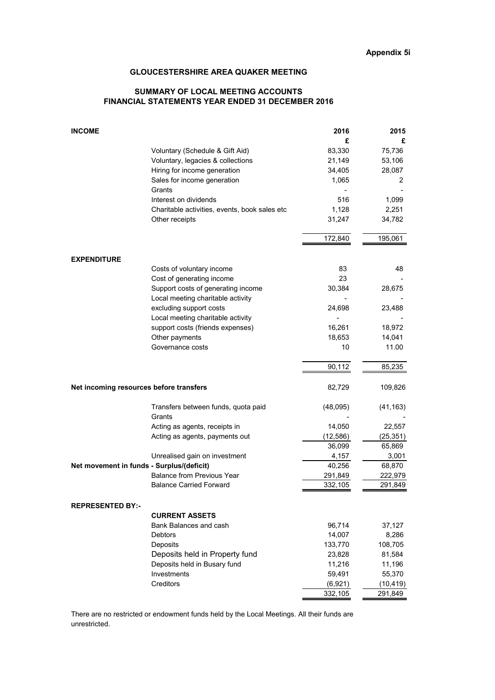#### SUMMARY OF LOCAL MEETING ACCOUNTS FINANCIAL STATEMENTS YEAR ENDED 31 DECEMBER 2016

| <b>INCOME</b>                                 | 2016     | 2015      |
|-----------------------------------------------|----------|-----------|
|                                               | £        | £         |
| Voluntary (Schedule & Gift Aid)               | 83,330   | 75,736    |
| Voluntary, legacies & collections             | 21,149   | 53,106    |
| Hiring for income generation                  | 34,405   | 28,087    |
| Sales for income generation                   | 1,065    | 2         |
| Grants                                        |          |           |
| Interest on dividends                         | 516      | 1,099     |
| Charitable activities, events, book sales etc | 1,128    | 2,251     |
| Other receipts                                | 31,247   | 34,782    |
|                                               | 172,840  | 195,061   |
| <b>EXPENDITURE</b>                            |          |           |
| Costs of voluntary income                     | 83       | 48        |
| Cost of generating income                     | 23       |           |
| Support costs of generating income            | 30,384   | 28,675    |
| Local meeting charitable activity             |          |           |
| excluding support costs                       | 24,698   | 23,488    |
| Local meeting charitable activity             |          |           |
| support costs (friends expenses)              | 16,261   | 18,972    |
| Other payments                                | 18,653   | 14,041    |
| Governance costs                              | 10       | 11.00     |
|                                               | 90,112   | 85,235    |
| Net incoming resources before transfers       | 82,729   | 109,826   |
| Transfers between funds, quota paid           | (48,095) | (41, 163) |
| Grants                                        |          |           |
| Acting as agents, receipts in                 | 14,050   | 22,557    |
| Acting as agents, payments out                | (12,586) | (25, 351) |
|                                               | 36,099   | 65,869    |
| Unrealised gain on investment                 | 4,157    | 3,001     |
| Net movement in funds - Surplus/(deficit)     | 40,256   | 68,870    |
| <b>Balance from Previous Year</b>             | 291,849  | 222,979   |
| <b>Balance Carried Forward</b>                | 332,105  | 291,849   |
| <b>REPRESENTED BY:-</b>                       |          |           |
| <b>CURRENT ASSETS</b>                         |          |           |
| Bank Balances and cash                        | 96,714   | 37,127    |
| <b>Debtors</b>                                | 14,007   | 8,286     |
| Deposits                                      | 133,770  | 108,705   |
| Deposits held in Property fund                | 23,828   | 81,584    |
| Deposits held in Busary fund                  | 11,216   | 11,196    |
| Investments                                   | 59,491   | 55,370    |
| Creditors                                     | (6,921)  | (10, 419) |
|                                               | 332,105  | 291,849   |

There are no restricted or endowment funds held by the Local Meetings. All their funds are unrestricted.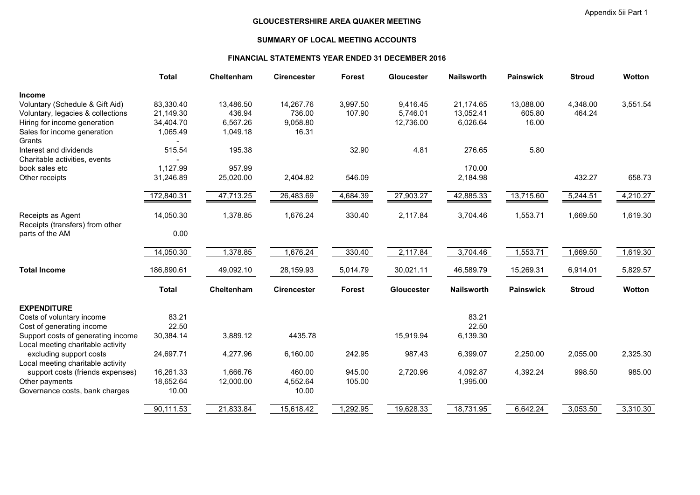#### SUMMARY OF LOCAL MEETING ACCOUNTS

#### FINANCIAL STATEMENTS YEAR ENDED 31 DECEMBER 2016

|                                                                                                                       | <b>Total</b>                        | Cheltenham                      | <b>Cirencester</b>              | <b>Forest</b>      | Gloucester                        | <b>Nailsworth</b>                  | <b>Painswick</b>             | <b>Stroud</b>      | <b>Wotton</b> |
|-----------------------------------------------------------------------------------------------------------------------|-------------------------------------|---------------------------------|---------------------------------|--------------------|-----------------------------------|------------------------------------|------------------------------|--------------------|---------------|
| <b>Income</b><br>Voluntary (Schedule & Gift Aid)<br>Voluntary, legacies & collections<br>Hiring for income generation | 83,330.40<br>21,149.30<br>34,404.70 | 13,486.50<br>436.94<br>6,567.26 | 14,267.76<br>736.00<br>9,058.80 | 3,997.50<br>107.90 | 9,416.45<br>5,746.01<br>12,736.00 | 21,174.65<br>13,052.41<br>6,026.64 | 13,088.00<br>605.80<br>16.00 | 4,348.00<br>464.24 | 3,551.54      |
| Sales for income generation<br>Grants                                                                                 | 1,065.49                            | 1,049.18                        | 16.31                           |                    |                                   |                                    |                              |                    |               |
| Interest and dividends<br>Charitable activities, events                                                               | 515.54                              | 195.38                          |                                 | 32.90              | 4.81                              | 276.65                             | 5.80                         |                    |               |
| book sales etc<br>Other receipts                                                                                      | 1,127.99<br>31,246.89               | 957.99<br>25,020.00             | 2,404.82                        | 546.09             |                                   | 170.00<br>2,184.98                 |                              | 432.27             | 658.73        |
|                                                                                                                       | 172,840.31                          | 47,713.25                       | 26,483.69                       | 4,684.39           | 27,903.27                         | 42,885.33                          | 13,715.60                    | 5,244.51           | 4,210.27      |
| Receipts as Agent<br>Receipts (transfers) from other                                                                  | 14,050.30                           | 1,378.85                        | 1,676.24                        | 330.40             | 2,117.84                          | 3,704.46                           | 1,553.71                     | 1,669.50           | 1,619.30      |
| parts of the AM                                                                                                       | 0.00                                |                                 |                                 |                    |                                   |                                    |                              |                    |               |
|                                                                                                                       | 14,050.30                           | 1,378.85                        | 1,676.24                        | 330.40             | 2,117.84                          | 3,704.46                           | 1,553.71                     | 1,669.50           | 1,619.30      |
| <b>Total Income</b>                                                                                                   | 186,890.61                          | 49,092.10                       | 28,159.93                       | 5,014.79           | 30,021.11                         | 46,589.79                          | 15,269.31                    | 6,914.01           | 5,829.57      |
|                                                                                                                       | <b>Total</b>                        | Cheltenham                      | <b>Cirencester</b>              | <b>Forest</b>      | <b>Gloucester</b>                 | <b>Nailsworth</b>                  | <b>Painswick</b>             | <b>Stroud</b>      | <b>Wotton</b> |
| <b>EXPENDITURE</b>                                                                                                    |                                     |                                 |                                 |                    |                                   |                                    |                              |                    |               |
| Costs of voluntary income<br>Cost of generating income                                                                | 83.21<br>22.50                      |                                 |                                 |                    |                                   | 83.21<br>22.50                     |                              |                    |               |
| Support costs of generating income<br>Local meeting charitable activity                                               | 30,384.14                           | 3,889.12                        | 4435.78                         |                    | 15,919.94                         | 6,139.30                           |                              |                    |               |
| excluding support costs<br>Local meeting charitable activity                                                          | 24,697.71                           | 4,277.96                        | 6,160.00                        | 242.95             | 987.43                            | 6,399.07                           | 2,250.00                     | 2,055.00           | 2,325.30      |
| support costs (friends expenses)<br>Other payments                                                                    | 16,261.33<br>18,652.64              | 1,666.76<br>12,000.00           | 460.00<br>4,552.64              | 945.00<br>105.00   | 2,720.96                          | 4,092.87<br>1,995.00               | 4,392.24                     | 998.50             | 985.00        |
| Governance costs, bank charges                                                                                        | 10.00                               |                                 | 10.00                           |                    |                                   |                                    |                              |                    |               |
|                                                                                                                       | 90,111.53                           | 21,833.84                       | 15,618.42                       | 1,292.95           | 19,628.33                         | 18,731.95                          | 6,642.24                     | 3,053.50           | 3,310.30      |